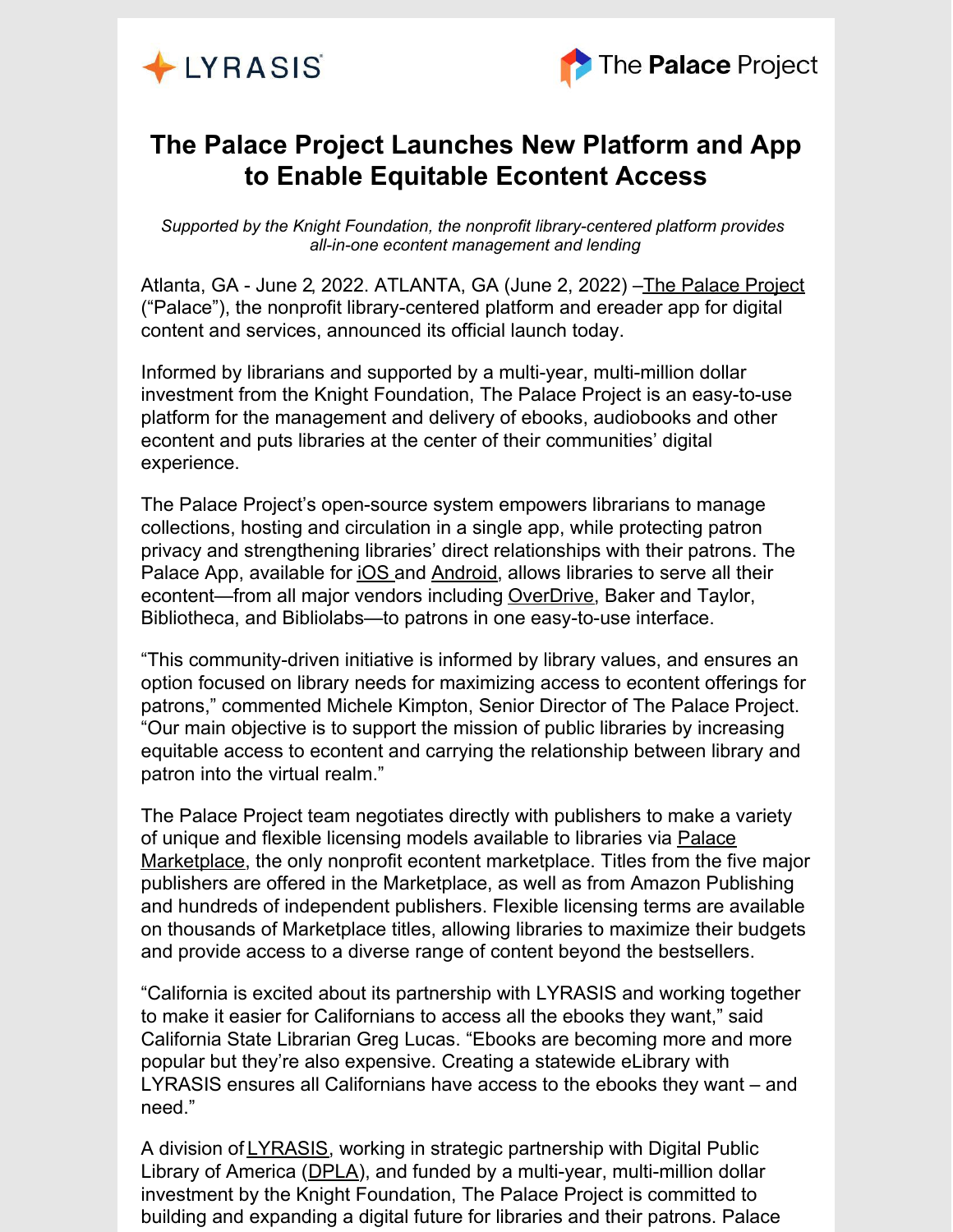



## **The Palace Project Launches New Platform and App to Enable Equitable Econtent Access**

*Supported by the Knight Foundation, the nonprofit library-centered platform provides all-in-one econtent management and lending*

Atlanta, GA - June 2, 2022. ATLANTA, GA (June 2, 2022) -The [Palace](https://thepalaceproject.org/) Project ("Palace"), the nonprofit library-centered platform and ereader app for digital content and services, announced its official launch today.

Informed by librarians and supported by a multi-year, multi-million dollar investment from the Knight Foundation, The Palace Project is an easy-to-use platform for the management and delivery of ebooks, audiobooks and other econtent and puts libraries at the center of their communities' digital experience.

The Palace Project's open-source system empowers librarians to manage collections, hosting and circulation in a single app, while protecting patron privacy and strengthening libraries' direct relationships with their patrons. The Palace App, available for [iOS](https://apps.apple.com/us/app/the-palace-project/id1574359693) and [Android](https://play.google.com/store/apps/details?id=org.thepalaceproject.palace), allows libraries to serve all their econtent—from all major vendors including [OverDrive](https://thepalaceproject.org/press-release-lyrasis-and-the-palace-project-announce-the-addition-of-overdrive/), Baker and Taylor, Bibliotheca, and Bibliolabs—to patrons in one easy-to-use interface.

"This community-driven initiative is informed by library values, and ensures an option focused on library needs for maximizing access to econtent offerings for patrons," commented Michele Kimpton, Senior Director of The Palace Project. "Our main objective is to support the mission of public libraries by increasing equitable access to econtent and carrying the relationship between library and patron into the virtual realm."

The Palace Project team negotiates directly with publishers to make a variety of unique and flexible licensing models available to libraries via Palace Marketplace, the only nonprofit econtent [marketplace.](https://thepalaceproject.org/marketplace/) Titles from the five major publishers are offered in the Marketplace, as well as from Amazon Publishing and hundreds of independent publishers. Flexible licensing terms are available on thousands of Marketplace titles, allowing libraries to maximize their budgets and provide access to a diverse range of content beyond the bestsellers.

"California is excited about its partnership with LYRASIS and working together to make it easier for Californians to access all the ebooks they want," said California State Librarian Greg Lucas. "Ebooks are becoming more and more popular but they're also expensive. Creating a statewide eLibrary with LYRASIS ensures all Californians have access to the ebooks they want – and need."

A division of **[LYRASIS](https://www.lyrasis.org/Pages/Main.aspx)**, working in strategic partnership with Digital Public Library of America ([DPLA](https://dp.la/)), and funded by a multi-year, multi-million dollar investment by the Knight Foundation, The Palace Project is committed to building and expanding a digital future for libraries and their patrons. Palace